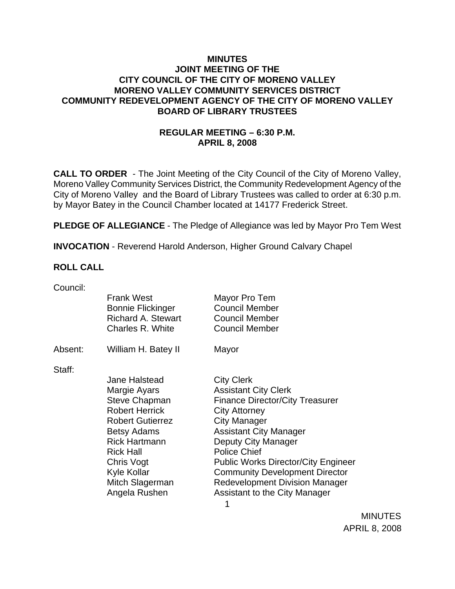### **MINUTES JOINT MEETING OF THE CITY COUNCIL OF THE CITY OF MORENO VALLEY MORENO VALLEY COMMUNITY SERVICES DISTRICT COMMUNITY REDEVELOPMENT AGENCY OF THE CITY OF MORENO VALLEY BOARD OF LIBRARY TRUSTEES**

# **REGULAR MEETING – 6:30 P.M. APRIL 8, 2008**

**CALL TO ORDER** - The Joint Meeting of the City Council of the City of Moreno Valley, Moreno Valley Community Services District, the Community Redevelopment Agency of the City of Moreno Valley and the Board of Library Trustees was called to order at 6:30 p.m. by Mayor Batey in the Council Chamber located at 14177 Frederick Street.

**PLEDGE OF ALLEGIANCE** - The Pledge of Allegiance was led by Mayor Pro Tem West

**INVOCATION** - Reverend Harold Anderson, Higher Ground Calvary Chapel

### **ROLL CALL**

| Council: |                                                                                                |                                                                                          |
|----------|------------------------------------------------------------------------------------------------|------------------------------------------------------------------------------------------|
|          | <b>Frank West</b><br><b>Bonnie Flickinger</b><br><b>Richard A. Stewart</b><br>Charles R. White | Mayor Pro Tem<br><b>Council Member</b><br><b>Council Member</b><br><b>Council Member</b> |
| Absent:  | William H. Batey II                                                                            | Mayor                                                                                    |
| Staff:   |                                                                                                |                                                                                          |
|          | <b>Jane Halstead</b>                                                                           | <b>City Clerk</b>                                                                        |
|          | Margie Ayars                                                                                   | <b>Assistant City Clerk</b>                                                              |
|          | Steve Chapman                                                                                  | <b>Finance Director/City Treasurer</b>                                                   |
|          | <b>Robert Herrick</b>                                                                          | <b>City Attorney</b>                                                                     |
|          | <b>Robert Gutierrez</b>                                                                        | <b>City Manager</b>                                                                      |
|          | Betsy Adams                                                                                    | <b>Assistant City Manager</b>                                                            |
|          | <b>Rick Hartmann</b>                                                                           | Deputy City Manager                                                                      |
|          | <b>Rick Hall</b>                                                                               | <b>Police Chief</b>                                                                      |
|          | Chris Vogt                                                                                     | <b>Public Works Director/City Engineer</b>                                               |
|          | Kyle Kollar                                                                                    | <b>Community Development Director</b>                                                    |
|          | Mitch Slagerman                                                                                | <b>Redevelopment Division Manager</b>                                                    |
|          | Angela Rushen                                                                                  | <b>Assistant to the City Manager</b>                                                     |
|          |                                                                                                |                                                                                          |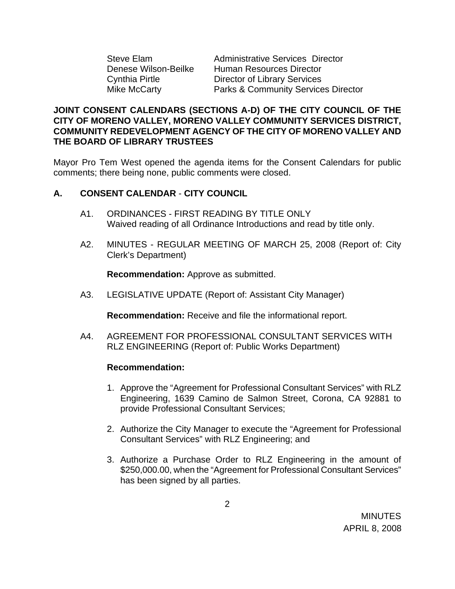Steve Elam Administrative Services Director Denese Wilson-Beilke Human Resources Director Cynthia Pirtle Director of Library Services Mike McCarty **Parks & Community Services Director** 

# **JOINT CONSENT CALENDARS (SECTIONS A-D) OF THE CITY COUNCIL OF THE CITY OF MORENO VALLEY, MORENO VALLEY COMMUNITY SERVICES DISTRICT, COMMUNITY REDEVELOPMENT AGENCY OF THE CITY OF MORENO VALLEY AND THE BOARD OF LIBRARY TRUSTEES**

Mayor Pro Tem West opened the agenda items for the Consent Calendars for public comments; there being none, public comments were closed.

# **A. CONSENT CALENDAR** - **CITY COUNCIL**

- A1. ORDINANCES FIRST READING BY TITLE ONLY Waived reading of all Ordinance Introductions and read by title only.
- A2. MINUTES REGULAR MEETING OF MARCH 25, 2008 (Report of: City Clerk's Department)

**Recommendation:** Approve as submitted.

A3. LEGISLATIVE UPDATE (Report of: Assistant City Manager)

**Recommendation:** Receive and file the informational report.

A4. AGREEMENT FOR PROFESSIONAL CONSULTANT SERVICES WITH RLZ ENGINEERING (Report of: Public Works Department)

### **Recommendation:**

- 1. Approve the "Agreement for Professional Consultant Services" with RLZ Engineering, 1639 Camino de Salmon Street, Corona, CA 92881 to provide Professional Consultant Services;
- 2. Authorize the City Manager to execute the "Agreement for Professional Consultant Services" with RLZ Engineering; and
- 3. Authorize a Purchase Order to RLZ Engineering in the amount of \$250,000.00, when the "Agreement for Professional Consultant Services" has been signed by all parties.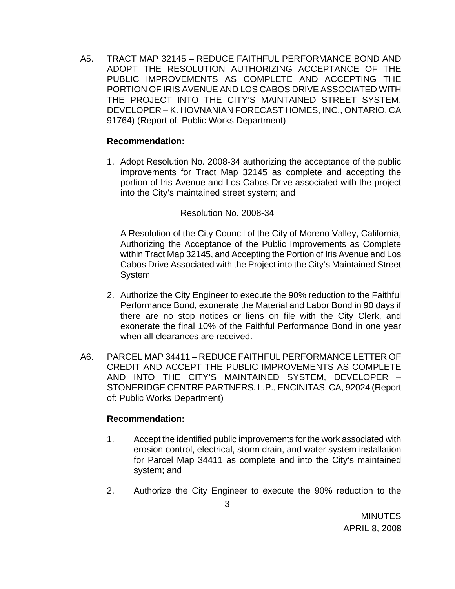A5. TRACT MAP 32145 – REDUCE FAITHFUL PERFORMANCE BOND AND ADOPT THE RESOLUTION AUTHORIZING ACCEPTANCE OF THE PUBLIC IMPROVEMENTS AS COMPLETE AND ACCEPTING THE PORTION OF IRIS AVENUE AND LOS CABOS DRIVE ASSOCIATED WITH THE PROJECT INTO THE CITY'S MAINTAINED STREET SYSTEM, DEVELOPER – K. HOVNANIAN FORECAST HOMES, INC., ONTARIO, CA 91764) (Report of: Public Works Department)

### **Recommendation:**

1. Adopt Resolution No. 2008-34 authorizing the acceptance of the public improvements for Tract Map 32145 as complete and accepting the portion of Iris Avenue and Los Cabos Drive associated with the project into the City's maintained street system; and

# Resolution No. 2008-34

A Resolution of the City Council of the City of Moreno Valley, California, Authorizing the Acceptance of the Public Improvements as Complete within Tract Map 32145, and Accepting the Portion of Iris Avenue and Los Cabos Drive Associated with the Project into the City's Maintained Street System

- 2. Authorize the City Engineer to execute the 90% reduction to the Faithful Performance Bond, exonerate the Material and Labor Bond in 90 days if there are no stop notices or liens on file with the City Clerk, and exonerate the final 10% of the Faithful Performance Bond in one year when all clearances are received.
- A6. PARCEL MAP 34411 REDUCE FAITHFUL PERFORMANCE LETTER OF CREDIT AND ACCEPT THE PUBLIC IMPROVEMENTS AS COMPLETE AND INTO THE CITY'S MAINTAINED SYSTEM, DEVELOPER – STONERIDGE CENTRE PARTNERS, L.P., ENCINITAS, CA, 92024 (Report of: Public Works Department)

### **Recommendation:**

- 1. Accept the identified public improvements for the work associated with erosion control, electrical, storm drain, and water system installation for Parcel Map 34411 as complete and into the City's maintained system; and
- 2. Authorize the City Engineer to execute the 90% reduction to the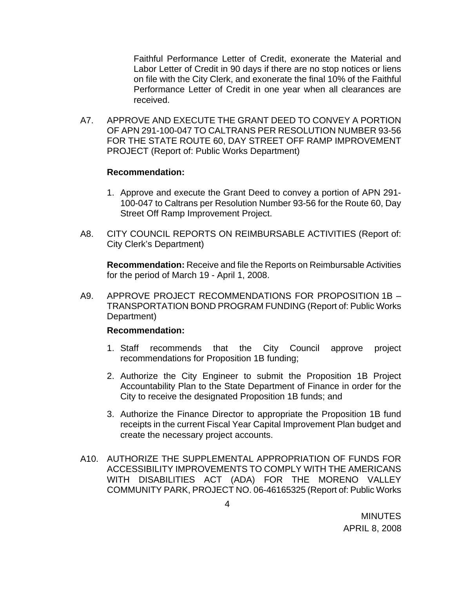Faithful Performance Letter of Credit, exonerate the Material and Labor Letter of Credit in 90 days if there are no stop notices or liens on file with the City Clerk, and exonerate the final 10% of the Faithful Performance Letter of Credit in one year when all clearances are received.

A7. APPROVE AND EXECUTE THE GRANT DEED TO CONVEY A PORTION OF APN 291-100-047 TO CALTRANS PER RESOLUTION NUMBER 93-56 FOR THE STATE ROUTE 60, DAY STREET OFF RAMP IMPROVEMENT PROJECT (Report of: Public Works Department)

#### **Recommendation:**

- 1. Approve and execute the Grant Deed to convey a portion of APN 291- 100-047 to Caltrans per Resolution Number 93-56 for the Route 60, Day Street Off Ramp Improvement Project.
- A8. CITY COUNCIL REPORTS ON REIMBURSABLE ACTIVITIES (Report of: City Clerk's Department)

**Recommendation:** Receive and file the Reports on Reimbursable Activities for the period of March 19 - April 1, 2008.

A9. APPROVE PROJECT RECOMMENDATIONS FOR PROPOSITION 1B – TRANSPORTATION BOND PROGRAM FUNDING (Report of: Public Works Department)

#### **Recommendation:**

- 1. Staff recommends that the City Council approve project recommendations for Proposition 1B funding;
- 2. Authorize the City Engineer to submit the Proposition 1B Project Accountability Plan to the State Department of Finance in order for the City to receive the designated Proposition 1B funds; and
- 3. Authorize the Finance Director to appropriate the Proposition 1B fund receipts in the current Fiscal Year Capital Improvement Plan budget and create the necessary project accounts.
- A10. AUTHORIZE THE SUPPLEMENTAL APPROPRIATION OF FUNDS FOR ACCESSIBILITY IMPROVEMENTS TO COMPLY WITH THE AMERICANS WITH DISABILITIES ACT (ADA) FOR THE MORENO VALLEY COMMUNITY PARK, PROJECT NO. 06-46165325 (Report of: Public Works

4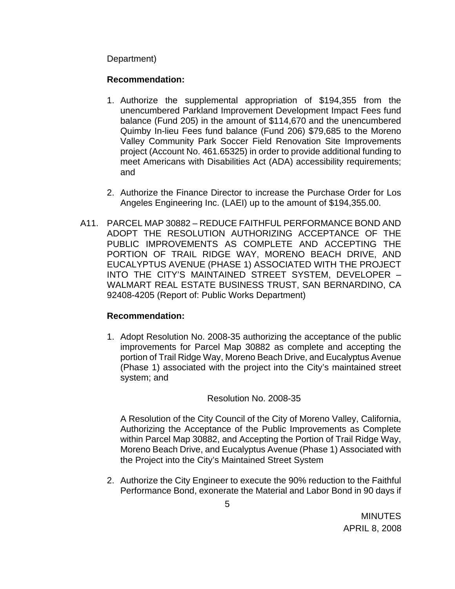Department)

# **Recommendation:**

- 1. Authorize the supplemental appropriation of \$194,355 from the unencumbered Parkland Improvement Development Impact Fees fund balance (Fund 205) in the amount of \$114,670 and the unencumbered Quimby In-lieu Fees fund balance (Fund 206) \$79,685 to the Moreno Valley Community Park Soccer Field Renovation Site Improvements project (Account No. 461.65325) in order to provide additional funding to meet Americans with Disabilities Act (ADA) accessibility requirements; and
- 2. Authorize the Finance Director to increase the Purchase Order for Los Angeles Engineering Inc. (LAEI) up to the amount of \$194,355.00.
- A11. PARCEL MAP 30882 REDUCE FAITHFUL PERFORMANCE BOND AND ADOPT THE RESOLUTION AUTHORIZING ACCEPTANCE OF THE PUBLIC IMPROVEMENTS AS COMPLETE AND ACCEPTING THE PORTION OF TRAIL RIDGE WAY, MORENO BEACH DRIVE, AND EUCALYPTUS AVENUE (PHASE 1) ASSOCIATED WITH THE PROJECT INTO THE CITY'S MAINTAINED STREET SYSTEM, DEVELOPER – WALMART REAL ESTATE BUSINESS TRUST, SAN BERNARDINO, CA 92408-4205 (Report of: Public Works Department)

# **Recommendation:**

1. Adopt Resolution No. 2008-35 authorizing the acceptance of the public improvements for Parcel Map 30882 as complete and accepting the portion of Trail Ridge Way, Moreno Beach Drive, and Eucalyptus Avenue (Phase 1) associated with the project into the City's maintained street system; and

# Resolution No. 2008-35

A Resolution of the City Council of the City of Moreno Valley, California, Authorizing the Acceptance of the Public Improvements as Complete within Parcel Map 30882, and Accepting the Portion of Trail Ridge Way, Moreno Beach Drive, and Eucalyptus Avenue (Phase 1) Associated with the Project into the City's Maintained Street System

2. Authorize the City Engineer to execute the 90% reduction to the Faithful Performance Bond, exonerate the Material and Labor Bond in 90 days if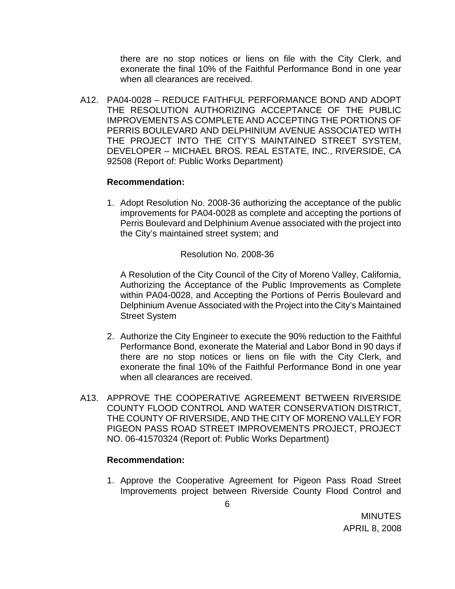there are no stop notices or liens on file with the City Clerk, and exonerate the final 10% of the Faithful Performance Bond in one year when all clearances are received.

A12. PA04-0028 – REDUCE FAITHFUL PERFORMANCE BOND AND ADOPT THE RESOLUTION AUTHORIZING ACCEPTANCE OF THE PUBLIC IMPROVEMENTS AS COMPLETE AND ACCEPTING THE PORTIONS OF PERRIS BOULEVARD AND DELPHINIUM AVENUE ASSOCIATED WITH THE PROJECT INTO THE CITY'S MAINTAINED STREET SYSTEM, DEVELOPER – MICHAEL BROS. REAL ESTATE, INC., RIVERSIDE, CA 92508 (Report of: Public Works Department)

### **Recommendation:**

1. Adopt Resolution No. 2008-36 authorizing the acceptance of the public improvements for PA04-0028 as complete and accepting the portions of Perris Boulevard and Delphinium Avenue associated with the project into the City's maintained street system; and

Resolution No. 2008-36

A Resolution of the City Council of the City of Moreno Valley, California, Authorizing the Acceptance of the Public Improvements as Complete within PA04-0028, and Accepting the Portions of Perris Boulevard and Delphinium Avenue Associated with the Project into the City's Maintained Street System

- 2. Authorize the City Engineer to execute the 90% reduction to the Faithful Performance Bond, exonerate the Material and Labor Bond in 90 days if there are no stop notices or liens on file with the City Clerk, and exonerate the final 10% of the Faithful Performance Bond in one year when all clearances are received.
- A13. APPROVE THE COOPERATIVE AGREEMENT BETWEEN RIVERSIDE COUNTY FLOOD CONTROL AND WATER CONSERVATION DISTRICT, THE COUNTY OF RIVERSIDE, AND THE CITY OF MORENO VALLEY FOR PIGEON PASS ROAD STREET IMPROVEMENTS PROJECT, PROJECT NO. 06-41570324 (Report of: Public Works Department)

### **Recommendation:**

1. Approve the Cooperative Agreement for Pigeon Pass Road Street Improvements project between Riverside County Flood Control and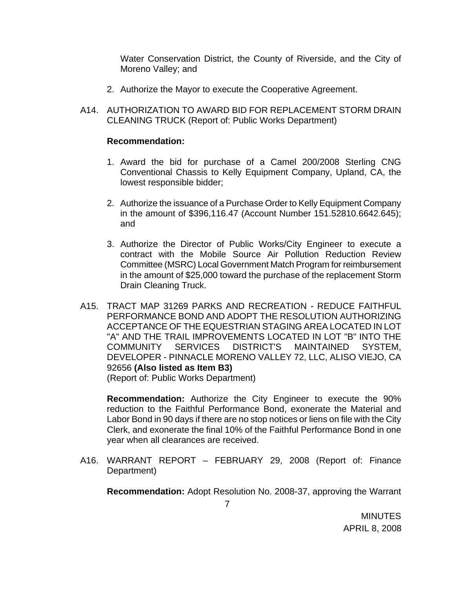Water Conservation District, the County of Riverside, and the City of Moreno Valley; and

- 2. Authorize the Mayor to execute the Cooperative Agreement.
- A14. AUTHORIZATION TO AWARD BID FOR REPLACEMENT STORM DRAIN CLEANING TRUCK (Report of: Public Works Department)

#### **Recommendation:**

- 1. Award the bid for purchase of a Camel 200/2008 Sterling CNG Conventional Chassis to Kelly Equipment Company, Upland, CA, the lowest responsible bidder;
- 2. Authorize the issuance of a Purchase Order to Kelly Equipment Company in the amount of \$396,116.47 (Account Number 151.52810.6642.645); and
- 3. Authorize the Director of Public Works/City Engineer to execute a contract with the Mobile Source Air Pollution Reduction Review Committee (MSRC) Local Government Match Program for reimbursement in the amount of \$25,000 toward the purchase of the replacement Storm Drain Cleaning Truck.
- A15. TRACT MAP 31269 PARKS AND RECREATION REDUCE FAITHFUL PERFORMANCE BOND AND ADOPT THE RESOLUTION AUTHORIZING ACCEPTANCE OF THE EQUESTRIAN STAGING AREA LOCATED IN LOT "A" AND THE TRAIL IMPROVEMENTS LOCATED IN LOT "B" INTO THE COMMUNITY SERVICES DISTRICT'S MAINTAINED SYSTEM, DEVELOPER - PINNACLE MORENO VALLEY 72, LLC, ALISO VIEJO, CA 92656 **(Also listed as Item B3)**

(Report of: Public Works Department)

**Recommendation:** Authorize the City Engineer to execute the 90% reduction to the Faithful Performance Bond, exonerate the Material and Labor Bond in 90 days if there are no stop notices or liens on file with the City Clerk, and exonerate the final 10% of the Faithful Performance Bond in one year when all clearances are received.

A16. WARRANT REPORT – FEBRUARY 29, 2008 (Report of: Finance Department)

**Recommendation:** Adopt Resolution No. 2008-37, approving the Warrant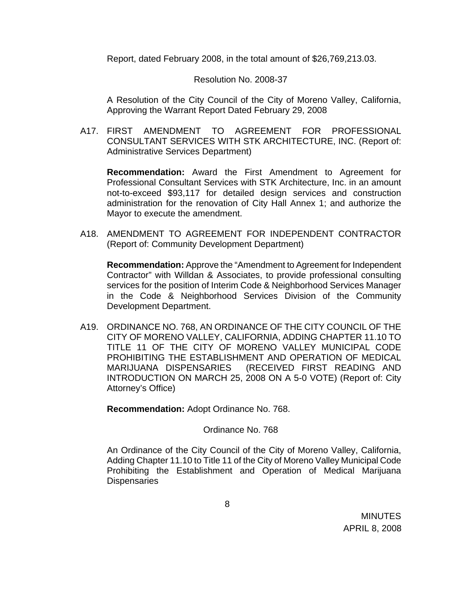Report, dated February 2008, in the total amount of \$26,769,213.03.

#### Resolution No. 2008-37

A Resolution of the City Council of the City of Moreno Valley, California, Approving the Warrant Report Dated February 29, 2008

A17. FIRST AMENDMENT TO AGREEMENT FOR PROFESSIONAL CONSULTANT SERVICES WITH STK ARCHITECTURE, INC. (Report of: Administrative Services Department)

 **Recommendation:** Award the First Amendment to Agreement for Professional Consultant Services with STK Architecture, Inc. in an amount not-to-exceed \$93,117 for detailed design services and construction administration for the renovation of City Hall Annex 1; and authorize the Mayor to execute the amendment.

A18. AMENDMENT TO AGREEMENT FOR INDEPENDENT CONTRACTOR (Report of: Community Development Department)

**Recommendation:** Approve the "Amendment to Agreement for Independent Contractor" with Willdan & Associates, to provide professional consulting services for the position of Interim Code & Neighborhood Services Manager in the Code & Neighborhood Services Division of the Community Development Department.

A19. ORDINANCE NO. 768, AN ORDINANCE OF THE CITY COUNCIL OF THE CITY OF MORENO VALLEY, CALIFORNIA, ADDING CHAPTER 11.10 TO TITLE 11 OF THE CITY OF MORENO VALLEY MUNICIPAL CODE PROHIBITING THE ESTABLISHMENT AND OPERATION OF MEDICAL MARIJUANA DISPENSARIES (RECEIVED FIRST READING AND INTRODUCTION ON MARCH 25, 2008 ON A 5-0 VOTE) (Report of: City Attorney's Office)

**Recommendation:** Adopt Ordinance No. 768.

### Ordinance No. 768

An Ordinance of the City Council of the City of Moreno Valley, California, Adding Chapter 11.10 to Title 11 of the City of Moreno Valley Municipal Code Prohibiting the Establishment and Operation of Medical Marijuana **Dispensaries**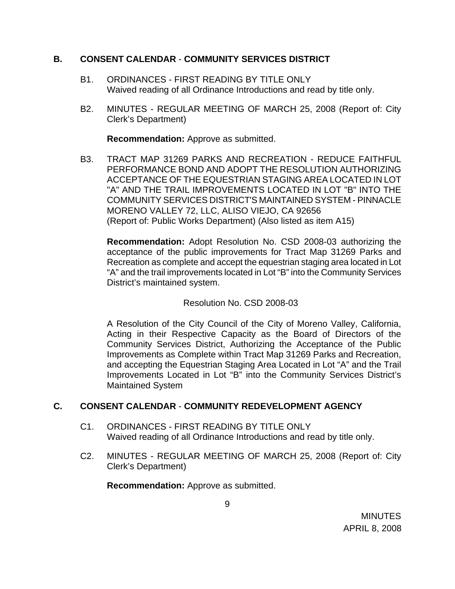# **B. CONSENT CALENDAR** - **COMMUNITY SERVICES DISTRICT**

- B1. ORDINANCES FIRST READING BY TITLE ONLY Waived reading of all Ordinance Introductions and read by title only.
- B2. MINUTES REGULAR MEETING OF MARCH 25, 2008 (Report of: City Clerk's Department)

**Recommendation:** Approve as submitted.

B3. TRACT MAP 31269 PARKS AND RECREATION - REDUCE FAITHFUL PERFORMANCE BOND AND ADOPT THE RESOLUTION AUTHORIZING ACCEPTANCE OF THE EQUESTRIAN STAGING AREA LOCATED IN LOT "A" AND THE TRAIL IMPROVEMENTS LOCATED IN LOT "B" INTO THE COMMUNITY SERVICES DISTRICT'S MAINTAINED SYSTEM - PINNACLE MORENO VALLEY 72, LLC, ALISO VIEJO, CA 92656 (Report of: Public Works Department) (Also listed as item A15)

**Recommendation:** Adopt Resolution No. CSD 2008-03 authorizing the acceptance of the public improvements for Tract Map 31269 Parks and Recreation as complete and accept the equestrian staging area located in Lot "A" and the trail improvements located in Lot "B" into the Community Services District's maintained system.

# Resolution No. CSD 2008-03

A Resolution of the City Council of the City of Moreno Valley, California, Acting in their Respective Capacity as the Board of Directors of the Community Services District, Authorizing the Acceptance of the Public Improvements as Complete within Tract Map 31269 Parks and Recreation, and accepting the Equestrian Staging Area Located in Lot "A" and the Trail Improvements Located in Lot "B" into the Community Services District's Maintained System

# **C. CONSENT CALENDAR** - **COMMUNITY REDEVELOPMENT AGENCY**

- C1. ORDINANCES FIRST READING BY TITLE ONLY Waived reading of all Ordinance Introductions and read by title only.
- C2. MINUTES REGULAR MEETING OF MARCH 25, 2008 (Report of: City Clerk's Department)

**Recommendation:** Approve as submitted.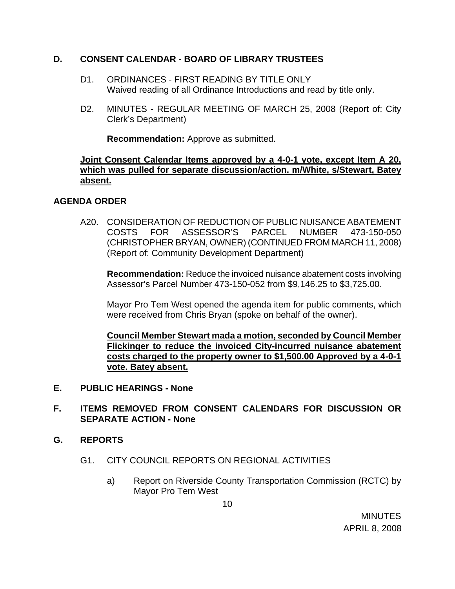# **D. CONSENT CALENDAR** - **BOARD OF LIBRARY TRUSTEES**

- D1. ORDINANCES FIRST READING BY TITLE ONLY Waived reading of all Ordinance Introductions and read by title only.
- D2. MINUTES REGULAR MEETING OF MARCH 25, 2008 (Report of: City Clerk's Department)

**Recommendation:** Approve as submitted.

# **Joint Consent Calendar Items approved by a 4-0-1 vote, except Item A 20, which was pulled for separate discussion/action. m/White, s/Stewart, Batey absent.**

# **AGENDA ORDER**

A20. CONSIDERATION OF REDUCTION OF PUBLIC NUISANCE ABATEMENT COSTS FOR ASSESSOR'S PARCEL NUMBER 473-150-050 (CHRISTOPHER BRYAN, OWNER) (CONTINUED FROM MARCH 11, 2008) (Report of: Community Development Department)

**Recommendation:** Reduce the invoiced nuisance abatement costs involving Assessor's Parcel Number 473-150-052 from \$9,146.25 to \$3,725.00.

 Mayor Pro Tem West opened the agenda item for public comments, which were received from Chris Bryan (spoke on behalf of the owner).

**Council Member Stewart mada a motion, seconded by Council Member Flickinger to reduce the invoiced City-incurred nuisance abatement costs charged to the property owner to \$1,500.00 Approved by a 4-0-1 vote. Batey absent.**

- **E. PUBLIC HEARINGS None**
- **F. ITEMS REMOVED FROM CONSENT CALENDARS FOR DISCUSSION OR SEPARATE ACTION - None**
- **G. REPORTS**
	- G1. CITY COUNCIL REPORTS ON REGIONAL ACTIVITIES
		- a) Report on Riverside County Transportation Commission (RCTC) by Mayor Pro Tem West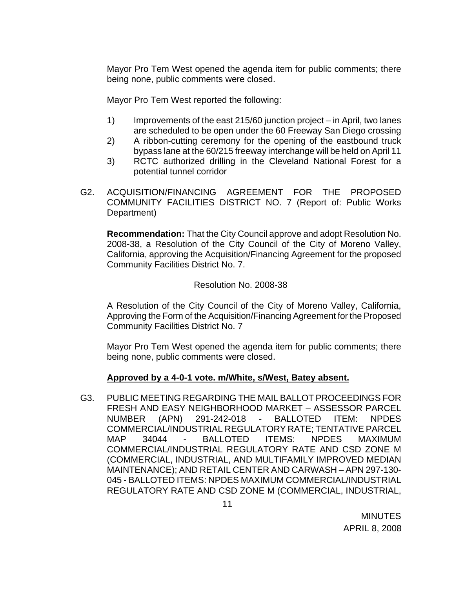Mayor Pro Tem West opened the agenda item for public comments; there being none, public comments were closed.

Mayor Pro Tem West reported the following:

- 1) Improvements of the east 215/60 junction project in April, two lanes are scheduled to be open under the 60 Freeway San Diego crossing
- 2) A ribbon-cutting ceremony for the opening of the eastbound truck bypass lane at the 60/215 freeway interchange will be held on April 11
- 3) RCTC authorized drilling in the Cleveland National Forest for a potential tunnel corridor
- G2. ACQUISITION/FINANCING AGREEMENT FOR THE PROPOSED COMMUNITY FACILITIES DISTRICT NO. 7 (Report of: Public Works Department)

 **Recommendation:** That the City Council approve and adopt Resolution No. 2008-38, a Resolution of the City Council of the City of Moreno Valley, California, approving the Acquisition/Financing Agreement for the proposed Community Facilities District No. 7.

# Resolution No. 2008-38

A Resolution of the City Council of the City of Moreno Valley, California, Approving the Form of the Acquisition/Financing Agreement for the Proposed Community Facilities District No. 7

Mayor Pro Tem West opened the agenda item for public comments; there being none, public comments were closed.

# **Approved by a 4-0-1 vote. m/White, s/West, Batey absent.**

G3. PUBLIC MEETING REGARDING THE MAIL BALLOT PROCEEDINGS FOR FRESH AND EASY NEIGHBORHOOD MARKET – ASSESSOR PARCEL NUMBER (APN) 291-242-018 - BALLOTED ITEM: NPDES COMMERCIAL/INDUSTRIAL REGULATORY RATE; TENTATIVE PARCEL MAP 34044 - BALLOTED ITEMS: NPDES MAXIMUM COMMERCIAL/INDUSTRIAL REGULATORY RATE AND CSD ZONE M (COMMERCIAL, INDUSTRIAL, AND MULTIFAMILY IMPROVED MEDIAN MAINTENANCE); AND RETAIL CENTER AND CARWASH – APN 297-130- 045 - BALLOTED ITEMS: NPDES MAXIMUM COMMERCIAL/INDUSTRIAL REGULATORY RATE AND CSD ZONE M (COMMERCIAL, INDUSTRIAL,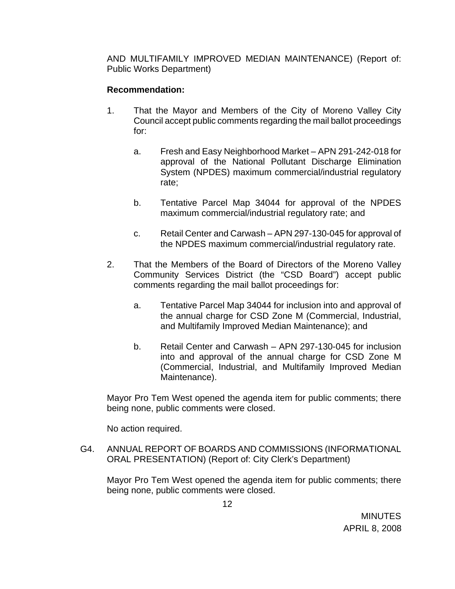AND MULTIFAMILY IMPROVED MEDIAN MAINTENANCE) (Report of: Public Works Department)

# **Recommendation:**

- 1. That the Mayor and Members of the City of Moreno Valley City Council accept public comments regarding the mail ballot proceedings for:
	- a. Fresh and Easy Neighborhood Market APN 291-242-018 for approval of the National Pollutant Discharge Elimination System (NPDES) maximum commercial/industrial regulatory rate;
	- b. Tentative Parcel Map 34044 for approval of the NPDES maximum commercial/industrial regulatory rate; and
	- c. Retail Center and Carwash APN 297-130-045 for approval of the NPDES maximum commercial/industrial regulatory rate.
- 2. That the Members of the Board of Directors of the Moreno Valley Community Services District (the "CSD Board") accept public comments regarding the mail ballot proceedings for:
	- a. Tentative Parcel Map 34044 for inclusion into and approval of the annual charge for CSD Zone M (Commercial, Industrial, and Multifamily Improved Median Maintenance); and
	- b. Retail Center and Carwash APN 297-130-045 for inclusion into and approval of the annual charge for CSD Zone M (Commercial, Industrial, and Multifamily Improved Median Maintenance).

Mayor Pro Tem West opened the agenda item for public comments; there being none, public comments were closed.

No action required.

G4. ANNUAL REPORT OF BOARDS AND COMMISSIONS (INFORMATIONAL ORAL PRESENTATION) (Report of: City Clerk's Department)

Mayor Pro Tem West opened the agenda item for public comments; there being none, public comments were closed.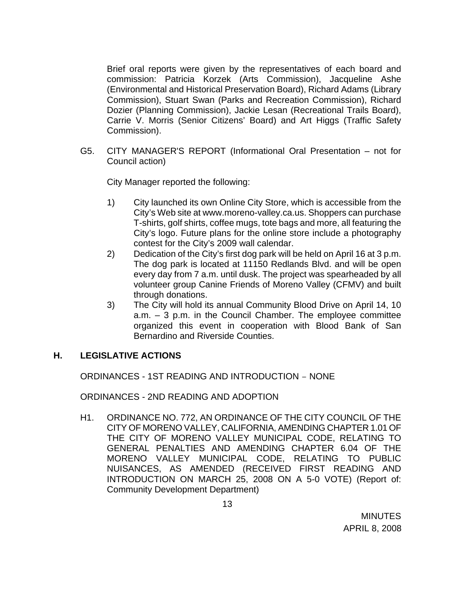Brief oral reports were given by the representatives of each board and commission: Patricia Korzek (Arts Commission), Jacqueline Ashe (Environmental and Historical Preservation Board), Richard Adams (Library Commission), Stuart Swan (Parks and Recreation Commission), Richard Dozier (Planning Commission), Jackie Lesan (Recreational Trails Board), Carrie V. Morris (Senior Citizens' Board) and Art Higgs (Traffic Safety Commission).

G5. CITY MANAGER'S REPORT (Informational Oral Presentation – not for Council action)

City Manager reported the following:

- 1) City launched its own Online City Store, which is accessible from the City's Web site at www.moreno-valley.ca.us. Shoppers can purchase T-shirts, golf shirts, coffee mugs, tote bags and more, all featuring the City's logo. Future plans for the online store include a photography contest for the City's 2009 wall calendar.
- 2) Dedication of the City's first dog park will be held on April 16 at 3 p.m. The dog park is located at 11150 Redlands Blvd. and will be open every day from 7 a.m. until dusk. The project was spearheaded by all volunteer group Canine Friends of Moreno Valley (CFMV) and built through donations.
- 3) The City will hold its annual Community Blood Drive on April 14, 10 a.m. – 3 p.m. in the Council Chamber. The employee committee organized this event in cooperation with Blood Bank of San Bernardino and Riverside Counties.

### **H. LEGISLATIVE ACTIONS**

ORDINANCES - 1ST READING AND INTRODUCTION – NONE

ORDINANCES - 2ND READING AND ADOPTION

H1. ORDINANCE NO. 772, AN ORDINANCE OF THE CITY COUNCIL OF THE CITY OF MORENO VALLEY, CALIFORNIA, AMENDING CHAPTER 1.01 OF THE CITY OF MORENO VALLEY MUNICIPAL CODE, RELATING TO GENERAL PENALTIES AND AMENDING CHAPTER 6.04 OF THE MORENO VALLEY MUNICIPAL CODE, RELATING TO PUBLIC NUISANCES, AS AMENDED (RECEIVED FIRST READING AND INTRODUCTION ON MARCH 25, 2008 ON A 5-0 VOTE) (Report of: Community Development Department)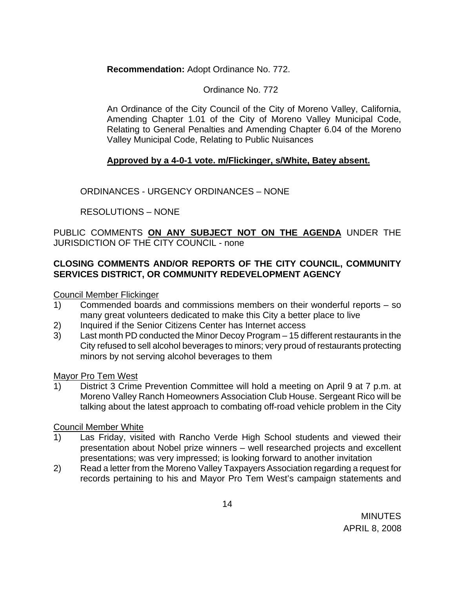# **Recommendation:** Adopt Ordinance No. 772.

### Ordinance No. 772

An Ordinance of the City Council of the City of Moreno Valley, California, Amending Chapter 1.01 of the City of Moreno Valley Municipal Code, Relating to General Penalties and Amending Chapter 6.04 of the Moreno Valley Municipal Code, Relating to Public Nuisances

### **Approved by a 4-0-1 vote. m/Flickinger, s/White, Batey absent.**

ORDINANCES - URGENCY ORDINANCES – NONE

RESOLUTIONS – NONE

PUBLIC COMMENTS **ON ANY SUBJECT NOT ON THE AGENDA** UNDER THE JURISDICTION OF THE CITY COUNCIL - none

# **CLOSING COMMENTS AND/OR REPORTS OF THE CITY COUNCIL, COMMUNITY SERVICES DISTRICT, OR COMMUNITY REDEVELOPMENT AGENCY**

Council Member Flickinger

- 1) Commended boards and commissions members on their wonderful reports so many great volunteers dedicated to make this City a better place to live
- 2) Inquired if the Senior Citizens Center has Internet access
- 3) Last month PD conducted the Minor Decoy Program 15 different restaurants in the City refused to sell alcohol beverages to minors; very proud of restaurants protecting minors by not serving alcohol beverages to them

Mayor Pro Tem West

1) District 3 Crime Prevention Committee will hold a meeting on April 9 at 7 p.m. at Moreno Valley Ranch Homeowners Association Club House. Sergeant Rico will be talking about the latest approach to combating off-road vehicle problem in the City

### Council Member White

- 1) Las Friday, visited with Rancho Verde High School students and viewed their presentation about Nobel prize winners – well researched projects and excellent presentations; was very impressed; is looking forward to another invitation
- 2) Read a letter from the Moreno Valley Taxpayers Association regarding a request for records pertaining to his and Mayor Pro Tem West's campaign statements and